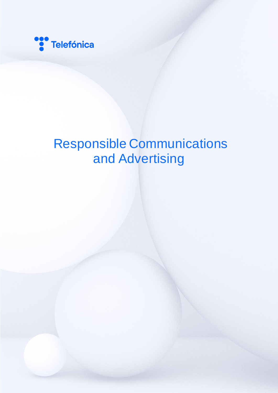

## Responsible Communications and Advertising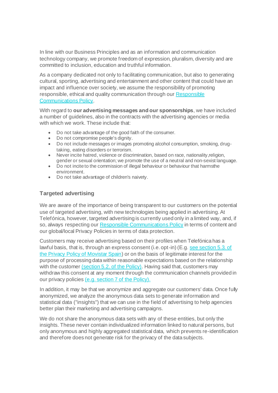In line with our Business Principles and as an information and communication technology company, we promote freedom of expression, pluralism, diversity and are committed to inclusion, education and truthful information.

As a company dedicated not only to facilitating communication, but also to generating cultural, sporting, advertising and entertainment and other content that could have an impact and influence over society, we assume the responsibility of promoting responsible, ethical and quality communication through our [Responsible](https://www.telefonica.com/en/wp-content/uploads/sites/5/2021/08/responsible-communications-regulation-2020.pdf)  [Communications Policy.](https://www.telefonica.com/en/wp-content/uploads/sites/5/2021/08/responsible-communications-regulation-2020.pdf)

With regard to **our advertising messages and our sponsorships**, we have included a number of guidelines, also in the contracts with the advertising agencies or media with which we work. These include that:

- Do not take advantage of the good faith of the consumer.
- Do not compromise people's dignity.
- Do not include messages or images promoting alcohol consumption, smoking, drugtaking, eating disorders or terrorism.
- Never incite hatred, violence or discrimination, based on race, nationality,religion, gender or sexual orientation; we promote the use of a neutral and non-sexist language.
- Do not incite to the commission of illegal behaviour or behaviour that harmsthe environment.
- Do not take advantage of children's naivety.

## **Targeted advertising**

We are aware of the importance of being transparent to our customers on the potential use of targeted advertising, with new technologies being applied in advertising. At Telefónica, however, targeted advertising is currently used only in a limited way, and, if so, always respecting our [Responsible Communications](https://www.telefonica.com/en/wp-content/uploads/sites/5/2021/08/responsible-communications-regulation-2020.pdf) Policy in terms of content and our global/local Privacy Policies in terms of data protection.

Customers may receive advertising based on their profiles when Telefónica has a lawful basis, that is, through an express consent (i.e. opt-in) (E.g. [see section 5.3. of](https://www.movistar.es/particulares/centro-de-privacidad/#Para)  [the Privacy Policy of Movistar Spain\)](https://www.movistar.es/particulares/centro-de-privacidad/#Para) or on the basis of legitimate interest for the purpose of processing data within reasonable expectations based on the relationship with the customer [\(section 5.2. of the Policy\)](https://www.movistar.es/particulares/centro-de-privacidad/#Para). Having said that, customers may withdraw this consent at any moment through the communication channels provided in our privacy policies [\(e.g. section 7 of the Policy\).](https://www.movistar.es/particulares/centro-de-privacidad/#Ejercicio)

In addition, it may be that we anonymize and aggregate our customers' data. Once fully anonymized, we analyze the anonymous data sets to generate information and statistical data ("insights") that we can use in the field of advertising to help agencies better plan their marketing and advertising campaigns.

We do not share the anonymous data sets with any of these entities, but only the insights. These never contain individualized information linked to natural persons, but only anonymous and highly aggregated statistical data, which prevents re-identification and therefore does not generate risk for the privacy of the data subjects.